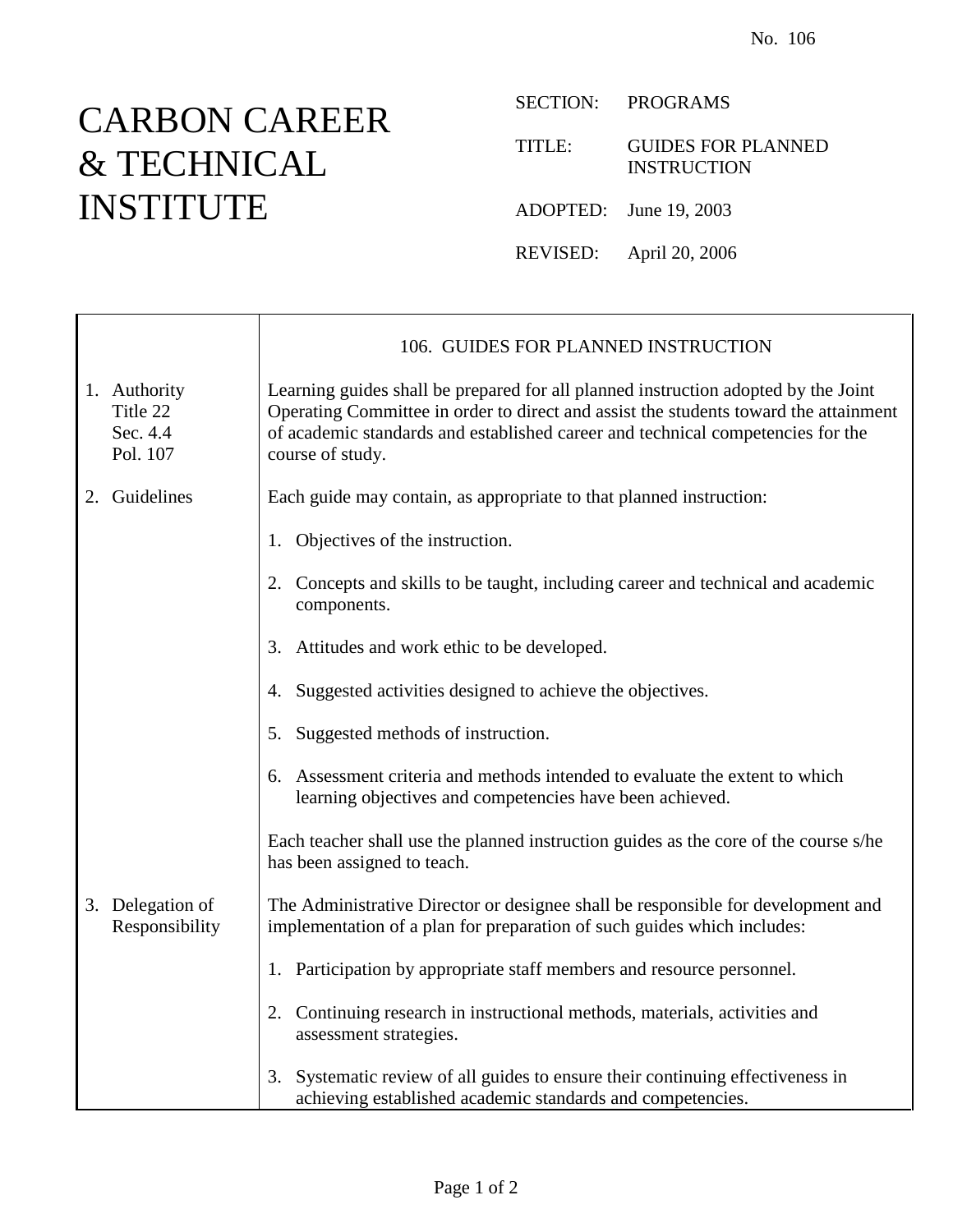## CARBON CAREER & TECHNICAL INSTITUTE

Τ

 $\Gamma$ 

SECTION: PROGRAMS

TITLE: GUIDES FOR PLANNED INSTRUCTION

ADOPTED: June 19, 2003

REVISED: April 20, 2006

|                                                  | 106. GUIDES FOR PLANNED INSTRUCTION                                                                                                                                                                                                                                               |
|--------------------------------------------------|-----------------------------------------------------------------------------------------------------------------------------------------------------------------------------------------------------------------------------------------------------------------------------------|
| 1. Authority<br>Title 22<br>Sec. 4.4<br>Pol. 107 | Learning guides shall be prepared for all planned instruction adopted by the Joint<br>Operating Committee in order to direct and assist the students toward the attainment<br>of academic standards and established career and technical competencies for the<br>course of study. |
| 2. Guidelines                                    | Each guide may contain, as appropriate to that planned instruction:                                                                                                                                                                                                               |
|                                                  | 1. Objectives of the instruction.                                                                                                                                                                                                                                                 |
|                                                  | 2. Concepts and skills to be taught, including career and technical and academic<br>components.                                                                                                                                                                                   |
|                                                  | 3. Attitudes and work ethic to be developed.                                                                                                                                                                                                                                      |
|                                                  | 4. Suggested activities designed to achieve the objectives.                                                                                                                                                                                                                       |
|                                                  | 5. Suggested methods of instruction.                                                                                                                                                                                                                                              |
|                                                  | 6. Assessment criteria and methods intended to evaluate the extent to which<br>learning objectives and competencies have been achieved.                                                                                                                                           |
|                                                  | Each teacher shall use the planned instruction guides as the core of the course s/he<br>has been assigned to teach.                                                                                                                                                               |
| 3. Delegation of<br>Responsibility               | The Administrative Director or designee shall be responsible for development and<br>implementation of a plan for preparation of such guides which includes:                                                                                                                       |
|                                                  | 1. Participation by appropriate staff members and resource personnel.                                                                                                                                                                                                             |
|                                                  | 2. Continuing research in instructional methods, materials, activities and<br>assessment strategies.                                                                                                                                                                              |
|                                                  | Systematic review of all guides to ensure their continuing effectiveness in<br>3.<br>achieving established academic standards and competencies.                                                                                                                                   |